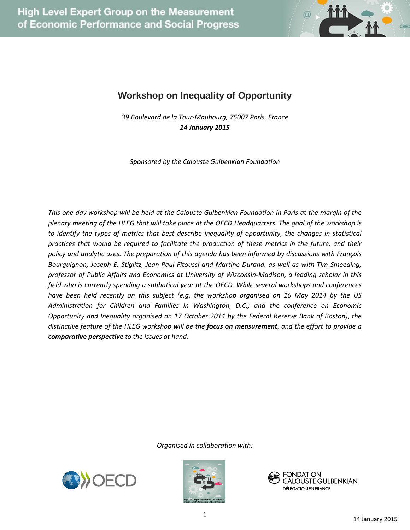

## **Workshop on Inequality of Opportunity**

*39 Boulevard de la Tour-Maubourg, 75007 Paris, France 14 January 2015*

*Sponsored by the Calouste Gulbenkian Foundation*

*This one-day workshop will be held at the Calouste Gulbenkian Foundation in Paris at the margin of the plenary meeting of the HLEG that will take place at the OECD Headquarters. The goal of the workshop is to identify the types of metrics that best describe inequality of opportunity, the changes in statistical practices that would be required to facilitate the production of these metrics in the future, and their policy and analytic uses. The preparation of this agenda has been informed by discussions with François Bourguignon, Joseph E. Stiglitz, Jean-Paul Fitoussi and Martine Durand, as well as with Tim Smeeding, professor of Public Affairs and Economics at University of Wisconsin-Madison, a leading scholar in this field who is currently spending a sabbatical year at the OECD. While several workshops and conferences have been held recently on this subject (e.g. the workshop organised on 16 May 2014 by the US Administration for Children and Families in Washington, D.C.; and the conference on Economic Opportunity and Inequality organised on 17 October 2014 by the Federal Reserve Bank of Boston), the distinctive feature of the HLEG workshop will be the focus on measurement, and the effort to provide a comparative perspective to the issues at hand.* 





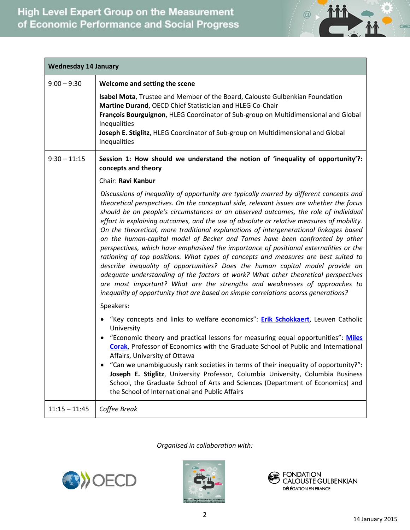

| <b>Wednesday 14 January</b> |                                                                                                                                                                                                                                                                                                                                                                                                                                                                                                                                                                                                                                                                                                                                                                                                                                                                                                                                                                                                                                                                                        |  |
|-----------------------------|----------------------------------------------------------------------------------------------------------------------------------------------------------------------------------------------------------------------------------------------------------------------------------------------------------------------------------------------------------------------------------------------------------------------------------------------------------------------------------------------------------------------------------------------------------------------------------------------------------------------------------------------------------------------------------------------------------------------------------------------------------------------------------------------------------------------------------------------------------------------------------------------------------------------------------------------------------------------------------------------------------------------------------------------------------------------------------------|--|
| $9:00 - 9:30$               | Welcome and setting the scene<br>Isabel Mota, Trustee and Member of the Board, Calouste Gulbenkian Foundation<br>Martine Durand, OECD Chief Statistician and HLEG Co-Chair<br>François Bourguignon, HLEG Coordinator of Sub-group on Multidimensional and Global<br>Inequalities<br>Joseph E. Stiglitz, HLEG Coordinator of Sub-group on Multidimensional and Global<br>Inequalities                                                                                                                                                                                                                                                                                                                                                                                                                                                                                                                                                                                                                                                                                                   |  |
| $9:30 - 11:15$              | Session 1: How should we understand the notion of 'inequality of opportunity'?:<br>concepts and theory<br>Chair: Ravi Kanbur                                                                                                                                                                                                                                                                                                                                                                                                                                                                                                                                                                                                                                                                                                                                                                                                                                                                                                                                                           |  |
|                             | Discussions of inequality of opportunity are typically marred by different concepts and<br>theoretical perspectives. On the conceptual side, relevant issues are whether the focus<br>should be on people's circumstances or on observed outcomes, the role of individual<br>effort in explaining outcomes, and the use of absolute or relative measures of mobility.<br>On the theoretical, more traditional explanations of intergenerational linkages based<br>on the human-capital model of Becker and Tomes have been confronted by other<br>perspectives, which have emphasised the importance of positional externalities or the<br>rationing of top positions. What types of concepts and measures are best suited to<br>describe inequality of opportunities? Does the human capital model provide an<br>adequate understanding of the factors at work? What other theoretical perspectives<br>are most important? What are the strengths and weaknesses of approaches to<br>inequality of opportunity that are based on simple correlations acorss generations?<br>Speakers: |  |
|                             | "Key concepts and links to welfare economics": <b>Erik Schokkaert</b> , Leuven Catholic<br>University<br>"Economic theory and practical lessons for measuring equal opportunities": Miles<br><b>Corak, Professor of Economics with the Graduate School of Public and International</b><br>Affairs, University of Ottawa<br>"Can we unambiguously rank societies in terms of their inequality of opportunity?":                                                                                                                                                                                                                                                                                                                                                                                                                                                                                                                                                                                                                                                                         |  |
|                             | Joseph E. Stiglitz, University Professor, Columbia University, Columbia Business<br>School, the Graduate School of Arts and Sciences (Department of Economics) and<br>the School of International and Public Affairs                                                                                                                                                                                                                                                                                                                                                                                                                                                                                                                                                                                                                                                                                                                                                                                                                                                                   |  |
| $11:15 - 11:45$             | Coffee Break                                                                                                                                                                                                                                                                                                                                                                                                                                                                                                                                                                                                                                                                                                                                                                                                                                                                                                                                                                                                                                                                           |  |





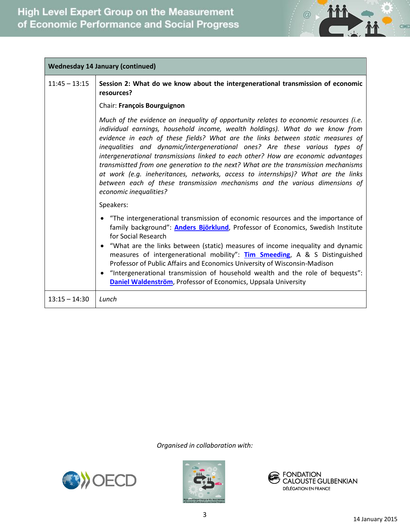

| <b>Wednesday 14 January (continued)</b> |                                                                                                                                                                                                                                                                                                                                                                                                                                                                                                                                                                                                                                                                                                                   |  |
|-----------------------------------------|-------------------------------------------------------------------------------------------------------------------------------------------------------------------------------------------------------------------------------------------------------------------------------------------------------------------------------------------------------------------------------------------------------------------------------------------------------------------------------------------------------------------------------------------------------------------------------------------------------------------------------------------------------------------------------------------------------------------|--|
| $11:45 - 13:15$                         | Session 2: What do we know about the intergenerational transmission of economic<br>resources?                                                                                                                                                                                                                                                                                                                                                                                                                                                                                                                                                                                                                     |  |
|                                         | Chair: François Bourguignon                                                                                                                                                                                                                                                                                                                                                                                                                                                                                                                                                                                                                                                                                       |  |
|                                         | Much of the evidence on inequality of opportunity relates to economic resources (i.e.<br>individual earnings, household income, wealth holdings). What do we know from<br>evidence in each of these fields? What are the links between static measures of<br>inequalities and dynamic/intergenerational ones? Are these various types of<br>intergenerational transmissions linked to each other? How are economic advantages<br>transmistted from one generation to the next? What are the transmission mechanisms<br>at work (e.g. ineheritances, networks, access to internships)? What are the links<br>between each of these transmission mechanisms and the various dimensions of<br>economic inequalities? |  |
|                                         | Speakers:                                                                                                                                                                                                                                                                                                                                                                                                                                                                                                                                                                                                                                                                                                         |  |
|                                         | "The intergenerational transmission of economic resources and the importance of<br>family background": <b>Anders Björklund</b> , Professor of Economics, Swedish Institute<br>for Social Research<br>"What are the links between (static) measures of income inequality and dynamic<br>measures of intergenerational mobility": <b>Tim Smeeding</b> , A & S Distinguished<br>Professor of Public Affairs and Economics University of Wisconsin-Madison<br>"Intergenerational transmission of household wealth and the role of bequests":<br>Daniel Waldenström, Professor of Economics, Uppsala University                                                                                                        |  |
| $13:15 - 14:30$                         | Lunch                                                                                                                                                                                                                                                                                                                                                                                                                                                                                                                                                                                                                                                                                                             |  |





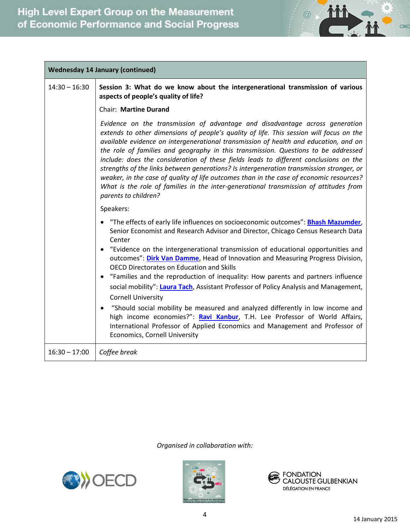

٦

| <b>Wednesday 14 January (continued)</b> |                                                                                                                                                                                                                                                                                                                                                                                                                                                                                                                                                                                                                                                                                                                                                        |  |
|-----------------------------------------|--------------------------------------------------------------------------------------------------------------------------------------------------------------------------------------------------------------------------------------------------------------------------------------------------------------------------------------------------------------------------------------------------------------------------------------------------------------------------------------------------------------------------------------------------------------------------------------------------------------------------------------------------------------------------------------------------------------------------------------------------------|--|
| $14:30 - 16:30$                         | Session 3: What do we know about the intergenerational transmission of various<br>aspects of people's quality of life?                                                                                                                                                                                                                                                                                                                                                                                                                                                                                                                                                                                                                                 |  |
|                                         | Chair: Martine Durand                                                                                                                                                                                                                                                                                                                                                                                                                                                                                                                                                                                                                                                                                                                                  |  |
|                                         | Evidence on the transmission of advantage and disadvantage across generation<br>extends to other dimensions of people's quality of life. This session will focus on the<br>available evidence on intergenerational transmission of health and education, and on<br>the role of families and geography in this transmission. Questions to be addressed<br>include: does the consideration of these fields leads to different conclusions on the<br>strengths of the links between generations? Is intergeneration transmission stronger, or<br>weaker, in the case of quality of life outcomes than in the case of economic resources?<br>What is the role of families in the inter-generational transmission of attitudes from<br>parents to children? |  |
|                                         | Speakers:                                                                                                                                                                                                                                                                                                                                                                                                                                                                                                                                                                                                                                                                                                                                              |  |
|                                         | "The effects of early life influences on socioeconomic outcomes": Bhash Mazumder,<br>Senior Economist and Research Advisor and Director, Chicago Census Research Data<br>Center<br>"Evidence on the intergenerational transmission of educational opportunities and<br>outcomes": Dirk Van Damme, Head of Innovation and Measuring Progress Division,<br><b>OECD Directorates on Education and Skills</b>                                                                                                                                                                                                                                                                                                                                              |  |
|                                         | "Families and the reproduction of inequality: How parents and partners influence<br>social mobility": Laura Tach, Assistant Professor of Policy Analysis and Management,<br><b>Cornell University</b>                                                                                                                                                                                                                                                                                                                                                                                                                                                                                                                                                  |  |
|                                         | "Should social mobility be measured and analyzed differently in low income and<br>high income economies?": Ravi Kanbur, T.H. Lee Professor of World Affairs,<br>International Professor of Applied Economics and Management and Professor of<br>Economics, Cornell University                                                                                                                                                                                                                                                                                                                                                                                                                                                                          |  |
| $16:30 - 17:00$                         | Coffee break                                                                                                                                                                                                                                                                                                                                                                                                                                                                                                                                                                                                                                                                                                                                           |  |